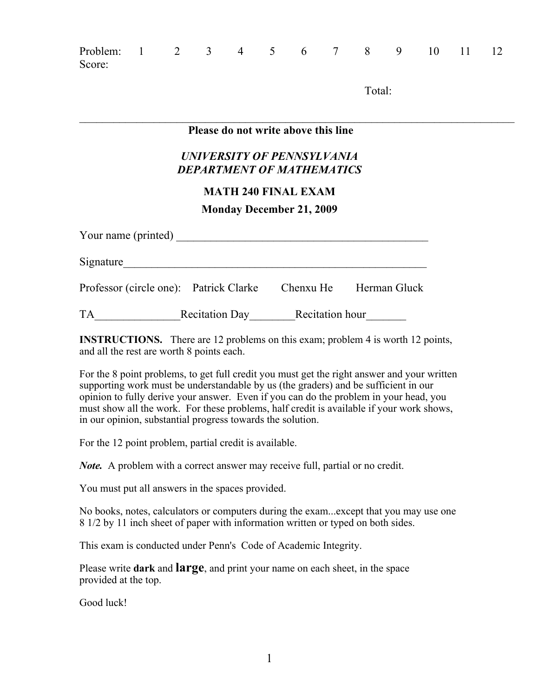| Problem:<br>Score:                                             |  | $1 \t2 \t3 \t4 \t5 \t6 \t7 \t8 \t9 \t10$ |  |  |  |  |  |        |  |  | 11 | -12 |
|----------------------------------------------------------------|--|------------------------------------------|--|--|--|--|--|--------|--|--|----|-----|
|                                                                |  |                                          |  |  |  |  |  | Total: |  |  |    |     |
| Please do not write above this line                            |  |                                          |  |  |  |  |  |        |  |  |    |     |
| UNIVERSITY OF PENNSYLVANIA<br><b>DEPARTMENT OF MATHEMATICS</b> |  |                                          |  |  |  |  |  |        |  |  |    |     |
| <b>MATH 240 FINAL EXAM</b>                                     |  |                                          |  |  |  |  |  |        |  |  |    |     |
| <b>Monday December 21, 2009</b>                                |  |                                          |  |  |  |  |  |        |  |  |    |     |
| Your name (printed)                                            |  |                                          |  |  |  |  |  |        |  |  |    |     |
| Signature                                                      |  |                                          |  |  |  |  |  |        |  |  |    |     |

Professor (circle one): Patrick Clarke Chenxu He Herman Gluck

TA\_\_\_\_\_\_\_\_\_\_\_\_\_\_\_Recitation Day\_\_\_\_\_\_\_\_Recitation hour\_\_\_\_\_\_\_

**INSTRUCTIONS.** There are 12 problems on this exam; problem 4 is worth 12 points, and all the rest are worth 8 points each.

For the 8 point problems, to get full credit you must get the right answer and your written supporting work must be understandable by us (the graders) and be sufficient in our opinion to fully derive your answer. Even if you can do the problem in your head, you must show all the work. For these problems, half credit is available if your work shows, in our opinion, substantial progress towards the solution.

For the 12 point problem, partial credit is available.

*Note.* A problem with a correct answer may receive full, partial or no credit.

You must put all answers in the spaces provided.

No books, notes, calculators or computers during the exam...except that you may use one 8 1/2 by 11 inch sheet of paper with information written or typed on both sides.

This exam is conducted under Penn's Code of Academic Integrity.

Please write **dark** and **large**, and print your name on each sheet, in the space provided at the top.

Good luck!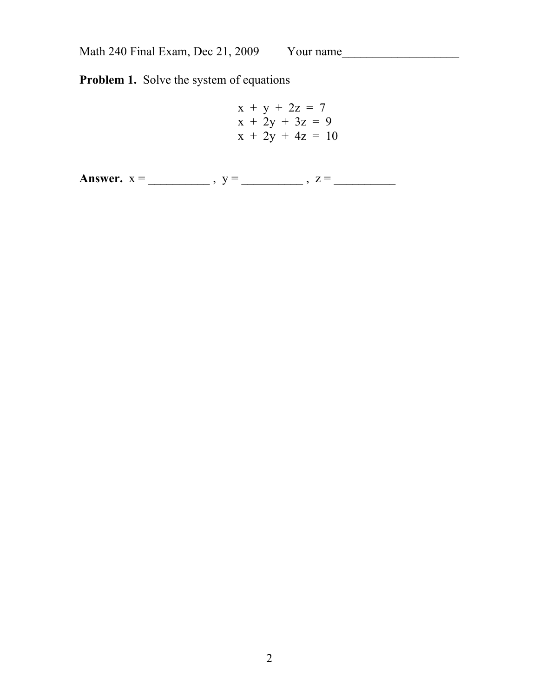**Problem 1.** Solve the system of equations

$$
x + y + 2z = 7 \n x + 2y + 3z = 9 \n x + 2y + 4z = 10
$$

**Answer.** x = \_\_\_\_\_\_\_\_\_\_ , y = \_\_\_\_\_\_\_\_\_\_ , z = \_\_\_\_\_\_\_\_\_\_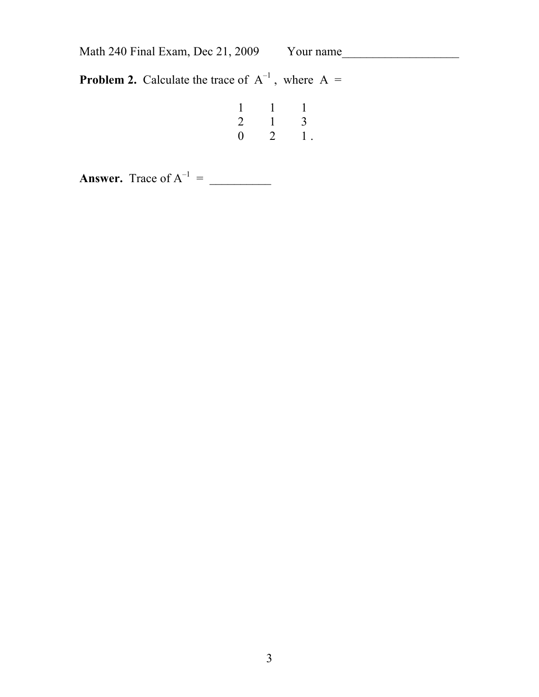**Problem 2.** Calculate the trace of  $A^{-1}$ , where  $A =$ 

| $\mathbf{1}$   |              | $\overline{1}$ |
|----------------|--------------|----------------|
| $\overline{2}$ | $\mathbf{1}$ | $\mathfrak{Z}$ |
| $\overline{0}$ | 2            | 1.             |

**Answer.** Trace of  $A^{-1} =$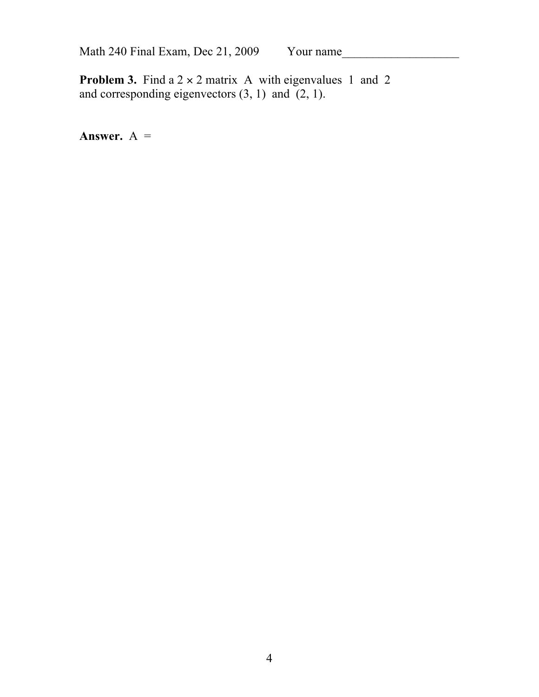**Problem 3.** Find a  $2 \times 2$  matrix A with eigenvalues 1 and 2 and corresponding eigenvectors  $(3, 1)$  and  $(2, 1)$ .

**Answer.**  $A =$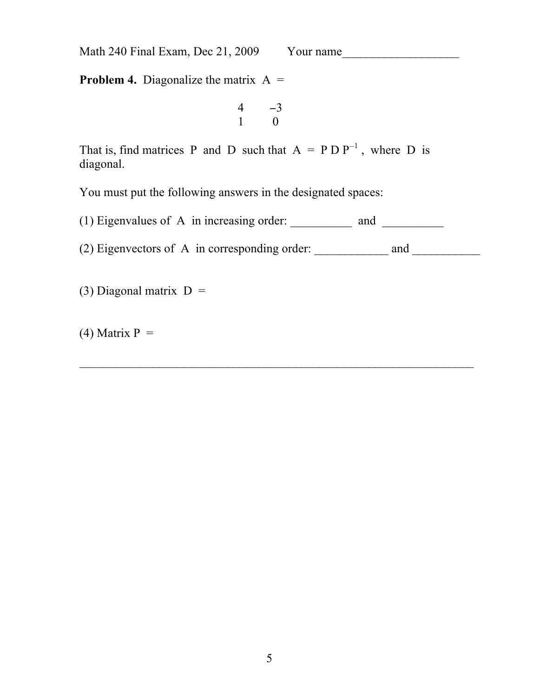**Problem 4.** Diagonalize the matrix  $A =$ 

$$
\begin{array}{cc} 4 & -3 \\ 1 & 0 \end{array}
$$

That is, find matrices P and D such that  $A = P D P^{-1}$ , where D is diagonal.

You must put the following answers in the designated spaces:

(1) Eigenvalues of A in increasing order:  $\frac{1}{\sqrt{1-\frac{1}{n}}}\$  and  $\frac{1}{\sqrt{1-\frac{1}{n}}}\$ 

(2) Eigenvectors of A in corresponding order:  $\_\_\_\_\_\_$  and  $\_\_\_\_\_\_$ 

(3) Diagonal matrix  $D =$ 

 $(4)$  Matrix P =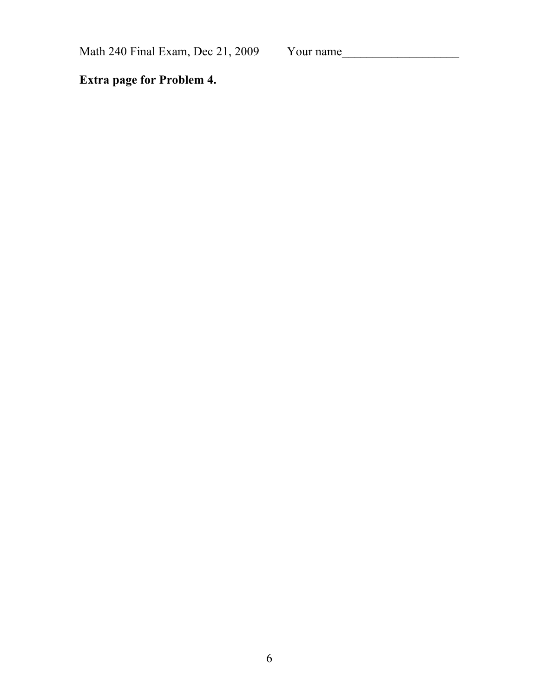**Extra page for Problem 4.**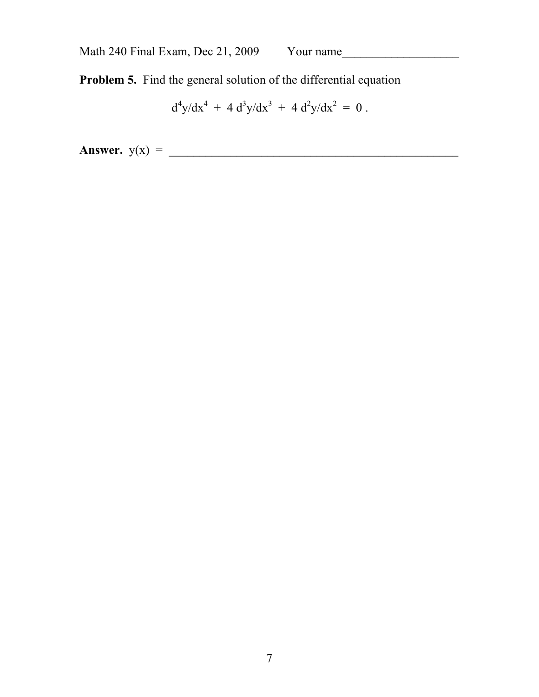**Problem 5.** Find the general solution of the differential equation

$$
d^4y/dx^4 + 4 d^3y/dx^3 + 4 d^2y/dx^2 = 0.
$$

**Answer.**  $y(x) =$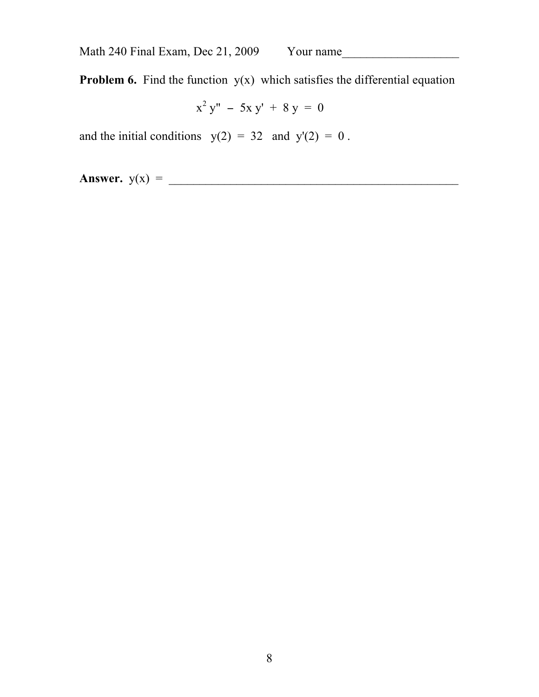**Problem 6.** Find the function  $y(x)$  which satisfies the differential equation

 x  $2 y'' - 5x y' + 8 y = 0$ 

and the initial conditions  $y(2) = 32$  and  $y'(2) = 0$ .

**Answer.** y(x) = \_\_\_\_\_\_\_\_\_\_\_\_\_\_\_\_\_\_\_\_\_\_\_\_\_\_\_\_\_\_\_\_\_\_\_\_\_\_\_\_\_\_\_\_\_\_\_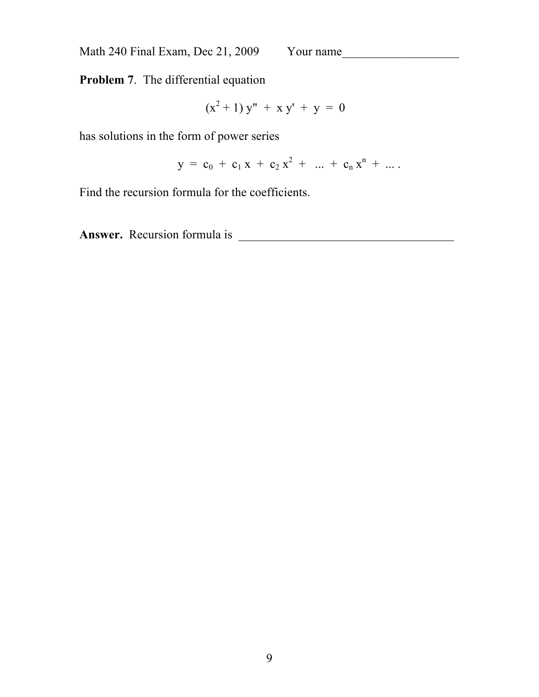**Problem 7**. The differential equation

$$
(x^2 + 1) y'' + x y' + y = 0
$$

has solutions in the form of power series

$$
y = c_0 + c_1 x + c_2 x^2 + \ldots + c_n x^n + \ldots
$$

Find the recursion formula for the coefficients.

**Answer.** Recursion formula is \_\_\_\_\_\_\_\_\_\_\_\_\_\_\_\_\_\_\_\_\_\_\_\_\_\_\_\_\_\_\_\_\_\_\_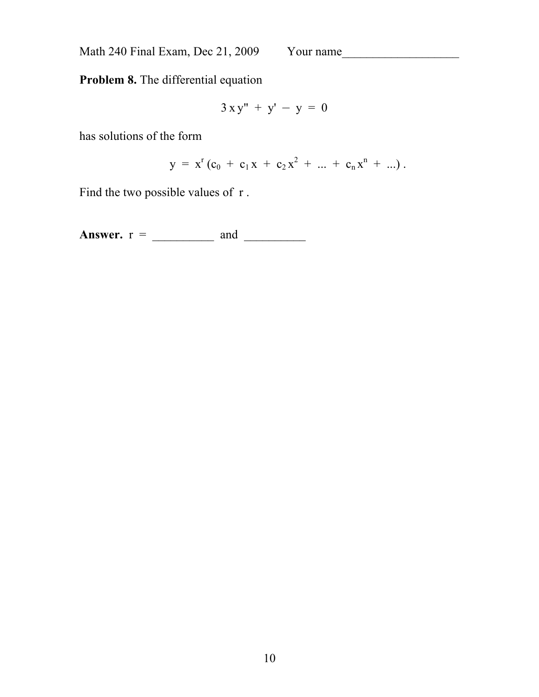**Problem 8.** The differential equation

$$
3xy'' + y' - y = 0
$$

has solutions of the form

$$
y = x^{r} (c_0 + c_1 x + c_2 x^{2} + ... + c_n x^{n} + ...).
$$

Find the two possible values of r.

**Answer.** r = \_\_\_\_\_\_\_\_\_\_ and \_\_\_\_\_\_\_\_\_\_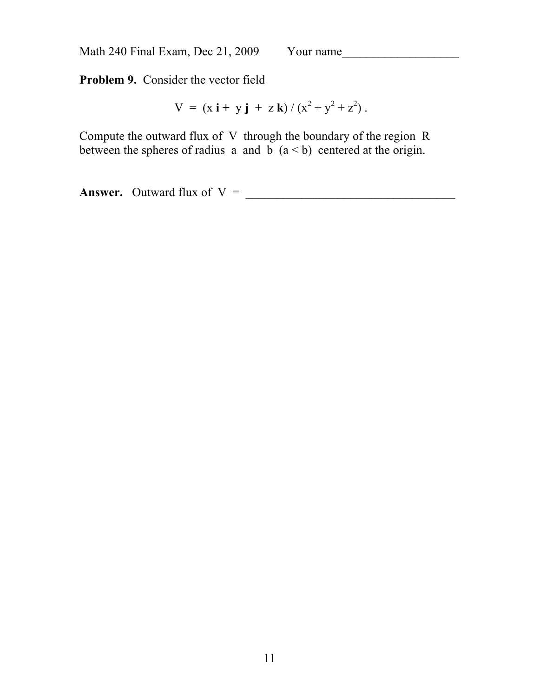**Problem 9.** Consider the vector field

$$
V = (x i + y j + z k) / (x2 + y2 + z2).
$$

Compute the outward flux of V through the boundary of the region R between the spheres of radius a and b  $(a < b)$  centered at the origin.

**Answer.** Outward flux of V = \_\_\_\_\_\_\_\_\_\_\_\_\_\_\_\_\_\_\_\_\_\_\_\_\_\_\_\_\_\_\_\_\_\_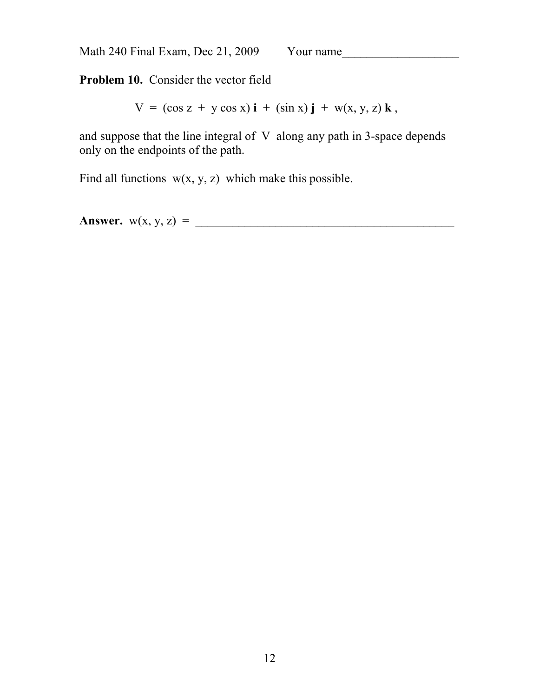**Problem 10.** Consider the vector field

 $V = (\cos z + y \cos x) i + (\sin x) j + w(x, y, z) k$ ,

and suppose that the line integral of V along any path in 3-space depends only on the endpoints of the path.

Find all functions  $w(x, y, z)$  which make this possible.

**Answer.** w(x, y, z) = \_\_\_\_\_\_\_\_\_\_\_\_\_\_\_\_\_\_\_\_\_\_\_\_\_\_\_\_\_\_\_\_\_\_\_\_\_\_\_\_\_\_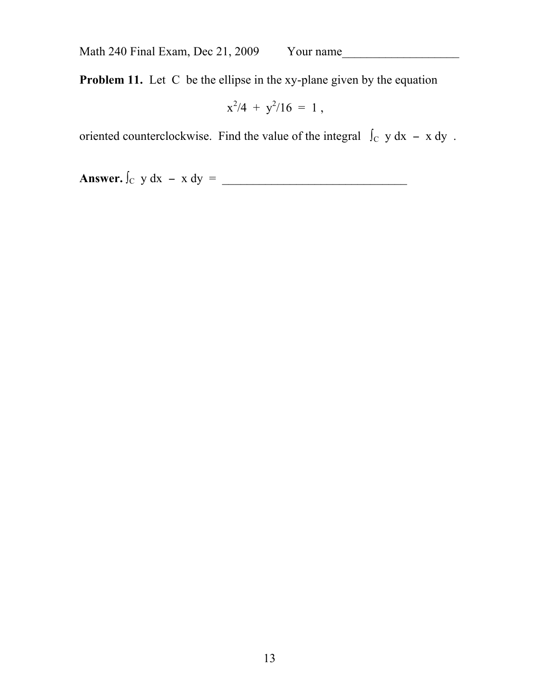**Problem 11.** Let C be the ellipse in the xy-plane given by the equation

$$
x^2/4 + y^2/16 = 1
$$

oriented counterclockwise. Find the value of the integral  $\int_C y dx - x dy$ .

**Answer.** ∫C y dx − x dy = \_\_\_\_\_\_\_\_\_\_\_\_\_\_\_\_\_\_\_\_\_\_\_\_\_\_\_\_\_\_